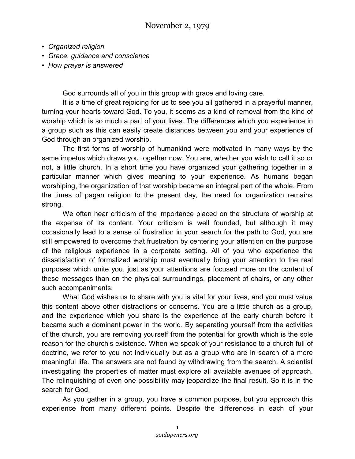- *Organized religion*
- *Grace, guidance and conscience*
- *How prayer is answered*

God surrounds all of you in this group with grace and loving care.

It is a time of great rejoicing for us to see you all gathered in a prayerful manner, turning your hearts toward God. To you, it seems as a kind of removal from the kind of worship which is so much a part of your lives. The differences which you experience in a group such as this can easily create distances between you and your experience of God through an organized worship.

The first forms of worship of humankind were motivated in many ways by the same impetus which draws you together now. You are, whether you wish to call it so or not, a little church. In a short time you have organized your gathering together in a particular manner which gives meaning to your experience. As humans began worshiping, the organization of that worship became an integral part of the whole. From the times of pagan religion to the present day, the need for organization remains strong.

We often hear criticism of the importance placed on the structure of worship at the expense of its content. Your criticism is well founded, but although it may occasionally lead to a sense of frustration in your search for the path to God, you are still empowered to overcome that frustration by centering your attention on the purpose of the religious experience in a corporate setting. All of you who experience the dissatisfaction of formalized worship must eventually bring your attention to the real purposes which unite you, just as your attentions are focused more on the content of these messages than on the physical surroundings, placement of chairs, or any other such accompaniments.

What God wishes us to share with you is vital for your lives, and you must value this content above other distractions or concerns. You are a little church as a group, and the experience which you share is the experience of the early church before it became such a dominant power in the world. By separating yourself from the activities of the church, you are removing yourself from the potential for growth which is the sole reason for the church's existence. When we speak of your resistance to a church full of doctrine, we refer to you not individually but as a group who are in search of a more meaningful life. The answers are not found by withdrawing from the search. A scientist investigating the properties of matter must explore all available avenues of approach. The relinquishing of even one possibility may jeopardize the final result. So it is in the search for God.

As you gather in a group, you have a common purpose, but you approach this experience from many different points. Despite the differences in each of your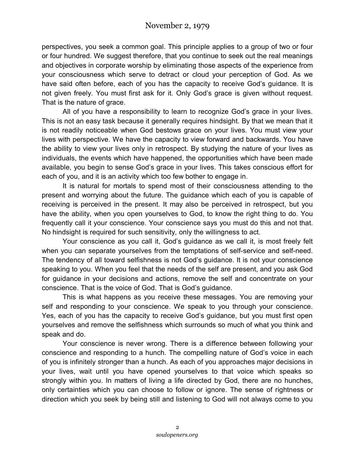perspectives, you seek a common goal. This principle applies to a group of two or four or four hundred. We suggest therefore, that you continue to seek out the real meanings and objectives in corporate worship by eliminating those aspects of the experience from your consciousness which serve to detract or cloud your perception of God. As we have said often before, each of you has the capacity to receive God's guidance. It is not given freely. You must first ask for it. Only God's grace is given without request. That is the nature of grace.

All of you have a responsibility to learn to recognize God's grace in your lives. This is not an easy task because it generally requires hindsight. By that we mean that it is not readily noticeable when God bestows grace on your lives. You must view your lives with perspective. We have the capacity to view forward and backwards. You have the ability to view your lives only in retrospect. By studying the nature of your lives as individuals, the events which have happened, the opportunities which have been made available, you begin to sense God's grace in your lives. This takes conscious effort for each of you, and it is an activity which too few bother to engage in.

It is natural for mortals to spend most of their consciousness attending to the present and worrying about the future. The guidance which each of you is capable of receiving is perceived in the present. It may also be perceived in retrospect, but you have the ability, when you open yourselves to God, to know the right thing to do. You frequently call it your conscience. Your conscience says you must do this and not that. No hindsight is required for such sensitivity, only the willingness to act.

Your conscience as you call it, God's guidance as we call it, is most freely felt when you can separate yourselves from the temptations of self-service and self-need. The tendency of all toward selfishness is not God's guidance. It is not your conscience speaking to you. When you feel that the needs of the self are present, and you ask God for guidance in your decisions and actions, remove the self and concentrate on your conscience. That is the voice of God. That is God's guidance.

This is what happens as you receive these messages. You are removing your self and responding to your conscience. We speak to you through your conscience. Yes, each of you has the capacity to receive God's guidance, but you must first open yourselves and remove the selfishness which surrounds so much of what you think and speak and do.

Your conscience is never wrong. There is a difference between following your conscience and responding to a hunch. The compelling nature of God's voice in each of you is infinitely stronger than a hunch. As each of you approaches major decisions in your lives, wait until you have opened yourselves to that voice which speaks so strongly within you. In matters of living a life directed by God, there are no hunches, only certainties which you can choose to follow or ignore. The sense of rightness or direction which you seek by being still and listening to God will not always come to you